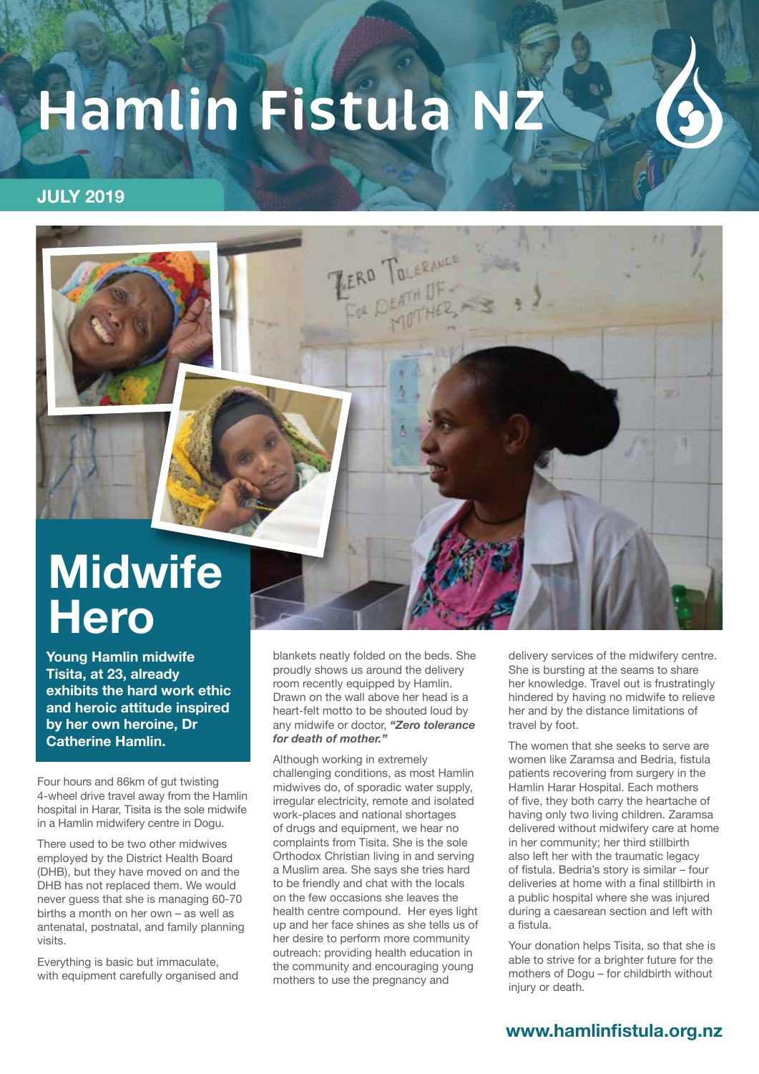## **Hamlin Fistula N**

#### **JULY 2019**



# **Hero**

**Young Hamlin midwife Tisita, at 23, already exhibits the hard work ethic and heroic attitude inspired by her own heroine, Dr Catherine Hamlin.** 

Four hours and 86km of gut twisting 4-wheel drive travel away from the Hamlin hospital in Harar, Tisita is the sole midwife in a Hamlin midwifery centre in Dogu.

There used to be two other midwives employed by the District Health Board (DHB), but they have moved on and the DHB has not replaced them. We would never guess that she is managing 60-70 births a month on her own – as well as antenatal, postnatal, and family planning visits.

Everything is basic but immaculate, with equipment carefully organised and blankets neatly folded on the beds. She proudly shows us around the delivery room recently equipped by Hamlin. Drawn on the wall above her head is a heart-felt motto to be shouted loud by any midwife or doctor, *"Zero tolerance for death of mother."*

Although working in extremely challenging conditions, as most Hamlin midwives do, of sporadic water supply, irregular electricity, remote and isolated work-places and national shortages of drugs and equipment, we hear no complaints from Tisita. She is the sole Orthodox Christian living in and serving a Muslim area. She says she tries hard to be friendly and chat with the locals on the few occasions she leaves the health centre compound. Her eyes light up and her face shines as she tells us of her desire to perform more community outreach: providing health education in the community and encouraging young mothers to use the pregnancy and

delivery services of the midwifery centre. She is bursting at the seams to share her knowledge. Travel out is frustratingly hindered by having no midwife to relieve her and by the distance limitations of travel by foot.

The women that she seeks to serve are women like Zaramsa and Bedria, fistula patients recovering from surgery in the Hamlin Harar Hospital. Each mothers of five, they both carry the heartache of having only two living children. Zaramsa delivered without midwifery care at home in her community; her third stillbirth also left her with the traumatic legacy of fistula. Bedria's story is similar – four deliveries at home with a final stillbirth in a public hospital where she was injured during a caesarean section and left with a fistula.

Your donation helps Tisita, so that she is able to strive for a brighter future for the mothers of Dogu – for childbirth without injury or death.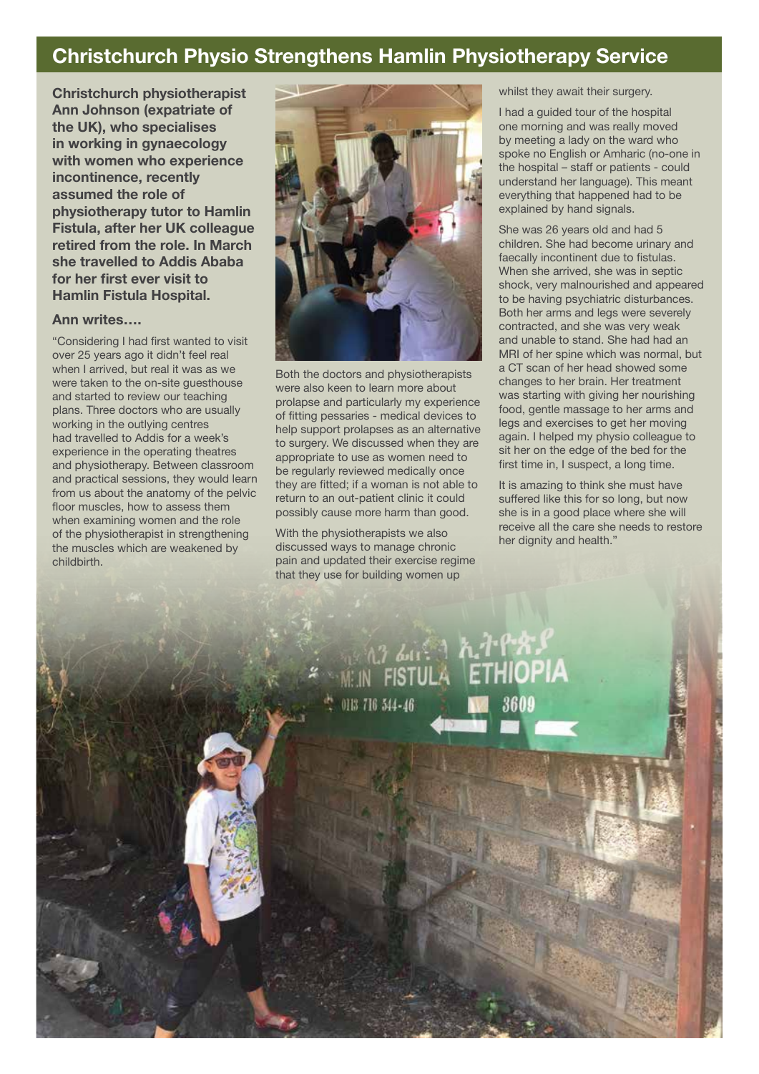### **Christchurch Physio Strengthens Hamlin Physiotherapy Service**

**Christchurch physiotherapist Ann Johnson (expatriate of the UK), who specialises in working in gynaecology with women who experience incontinence, recently assumed the role of physiotherapy tutor to Hamlin Fistula, after her UK colleague retired from the role. In March she travelled to Addis Ababa for her first ever visit to Hamlin Fistula Hospital.** 

#### **Ann writes….**

"Considering I had first wanted to visit over 25 years ago it didn't feel real when I arrived, but real it was as we were taken to the on-site guesthouse and started to review our teaching plans. Three doctors who are usually working in the outlying centres had travelled to Addis for a week's experience in the operating theatres and physiotherapy. Between classroom and practical sessions, they would learn from us about the anatomy of the pelvic floor muscles, how to assess them when examining women and the role of the physiotherapist in strengthening the muscles which are weakened by childbirth.



Both the doctors and physiotherapists were also keen to learn more about prolapse and particularly my experience of fitting pessaries - medical devices to help support prolapses as an alternative to surgery. We discussed when they are appropriate to use as women need to be regularly reviewed medically once they are fitted; if a woman is not able to return to an out-patient clinic it could possibly cause more harm than good.

With the physiotherapists we also discussed ways to manage chronic pain and updated their exercise regime that they use for building women up

whilst they await their surgery.

I had a guided tour of the hospital one morning and was really moved by meeting a lady on the ward who spoke no English or Amharic (no-one in the hospital – staff or patients - could understand her language). This meant everything that happened had to be explained by hand signals.

She was 26 years old and had 5 children. She had become urinary and faecally incontinent due to fistulas. When she arrived, she was in septic shock, very malnourished and appeared to be having psychiatric disturbances. Both her arms and legs were severely contracted, and she was very weak and unable to stand. She had had an MRI of her spine which was normal, but a CT scan of her head showed some changes to her brain. Her treatment was starting with giving her nourishing food, gentle massage to her arms and legs and exercises to get her moving again. I helped my physio colleague to sit her on the edge of the bed for the first time in, I suspect, a long time.

It is amazing to think she must have suffered like this for so long, but now she is in a good place where she will receive all the care she needs to restore her dignity and health."

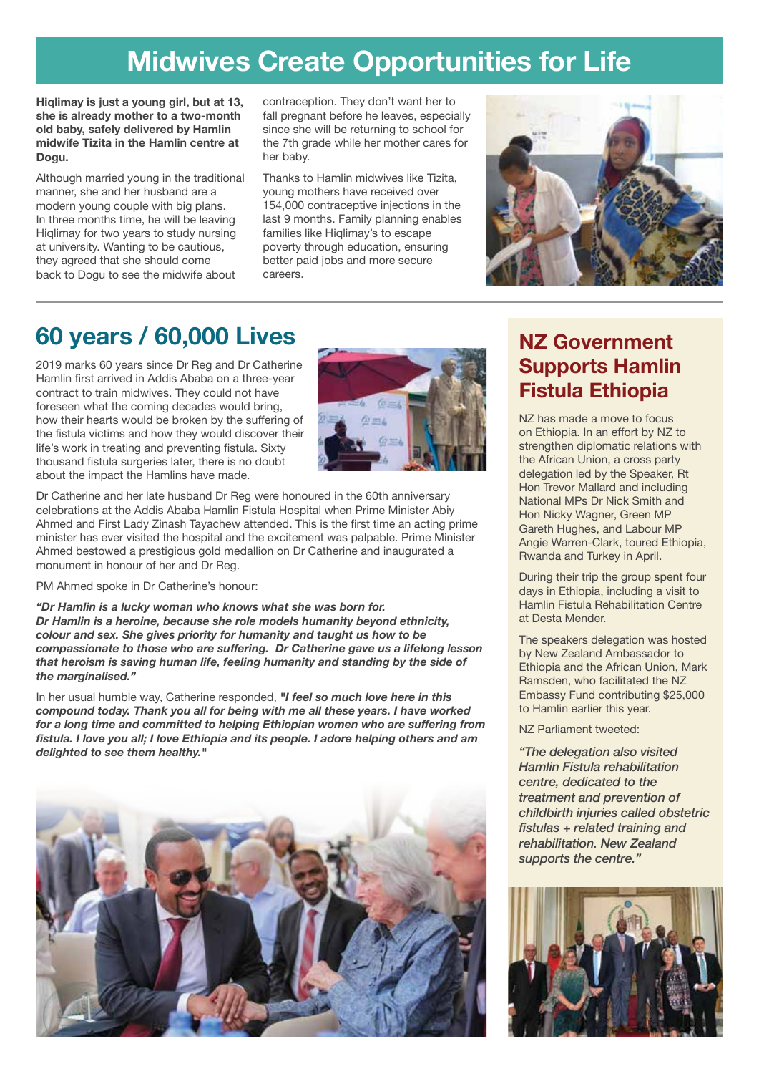## **Midwives Create Opportunities for Life**

**Hiqlimay is just a young girl, but at 13, she is already mother to a two-month old baby, safely delivered by Hamlin midwife Tizita in the Hamlin centre at Dogu.** 

Although married young in the traditional manner, she and her husband are a modern young couple with big plans. In three months time, he will be leaving Hiqlimay for two years to study nursing at university. Wanting to be cautious, they agreed that she should come back to Dogu to see the midwife about

contraception. They don't want her to fall pregnant before he leaves, especially since she will be returning to school for the 7th grade while her mother cares for her baby.

Thanks to Hamlin midwives like Tizita, young mothers have received over 154,000 contraceptive injections in the last 9 months. Family planning enables families like Higlimay's to escape poverty through education, ensuring better paid jobs and more secure careers.



## **60 years / 60,000 Lives**

2019 marks 60 years since Dr Reg and Dr Catherine Hamlin first arrived in Addis Ababa on a three-year contract to train midwives. They could not have foreseen what the coming decades would bring, how their hearts would be broken by the suffering of the fistula victims and how they would discover their life's work in treating and preventing fistula. Sixty thousand fistula surgeries later, there is no doubt about the impact the Hamlins have made.



Dr Catherine and her late husband Dr Reg were honoured in the 60th anniversary celebrations at the Addis Ababa Hamlin Fistula Hospital when Prime Minister Abiy Ahmed and First Lady Zinash Tayachew attended. This is the first time an acting prime minister has ever visited the hospital and the excitement was palpable. Prime Minister Ahmed bestowed a prestigious gold medallion on Dr Catherine and inaugurated a monument in honour of her and Dr Reg.

PM Ahmed spoke in Dr Catherine's honour:

*"Dr Hamlin is a lucky woman who knows what she was born for. Dr Hamlin is a heroine, because she role models humanity beyond ethnicity, colour and sex. She gives priority for humanity and taught us how to be compassionate to those who are suffering. Dr Catherine gave us a lifelong lesson that heroism is saving human life, feeling humanity and standing by the side of the marginalised."*

In her usual humble way, Catherine responded, *"I feel so much love here in this compound today. Thank you all for being with me all these years. I have worked for a long time and committed to helping Ethiopian women who are suffering from fistula. I love you all; I love Ethiopia and its people. I adore helping others and am delighted to see them healthy."*



### **NZ Government Supports Hamlin Fistula Ethiopia**

NZ has made a move to focus on Ethiopia. In an effort by NZ to strengthen diplomatic relations with the African Union, a cross party delegation led by the Speaker, Rt Hon Trevor Mallard and including National MPs Dr Nick Smith and Hon Nicky Wagner, Green MP Gareth Hughes, and Labour MP Angie Warren-Clark, toured Ethiopia, Rwanda and Turkey in April.

During their trip the group spent four days in Ethiopia, including a visit to Hamlin Fistula Rehabilitation Centre at Desta Mender.

The speakers delegation was hosted by New Zealand Ambassador to Ethiopia and the African Union, Mark Ramsden, who facilitated the NZ Embassy Fund contributing \$25,000 to Hamlin earlier this year.

NZ Parliament tweeted:

*"The delegation also visited Hamlin Fistula rehabilitation centre, dedicated to the treatment and prevention of childbirth injuries called obstetric fistulas + related training and rehabilitation. New Zealand supports the centre."*